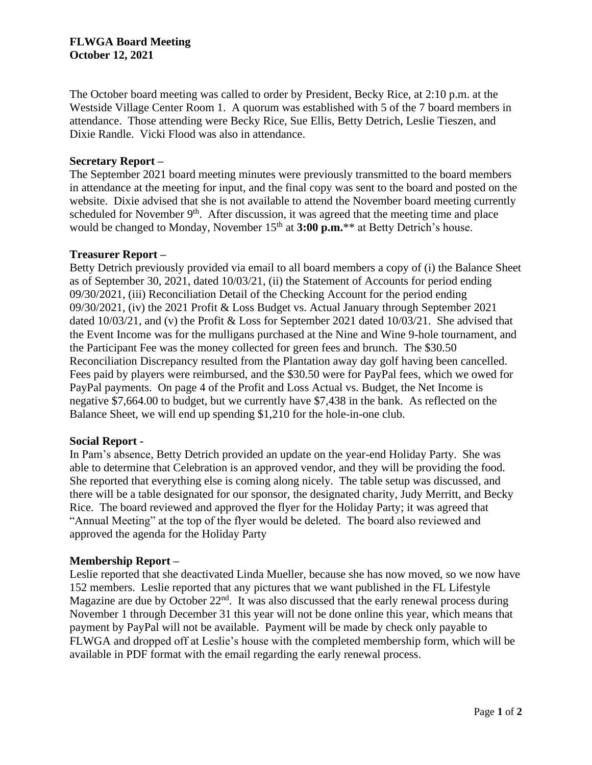# **FLWGA Board Meeting October 12, 2021**

The October board meeting was called to order by President, Becky Rice, at 2:10 p.m. at the Westside Village Center Room 1. A quorum was established with 5 of the 7 board members in attendance. Those attending were Becky Rice, Sue Ellis, Betty Detrich, Leslie Tieszen, and Dixie Randle. Vicki Flood was also in attendance.

## **Secretary Report –**

The September 2021 board meeting minutes were previously transmitted to the board members in attendance at the meeting for input, and the final copy was sent to the board and posted on the website. Dixie advised that she is not available to attend the November board meeting currently scheduled for November  $9<sup>th</sup>$ . After discussion, it was agreed that the meeting time and place would be changed to Monday, November 15<sup>th</sup> at **3:00 p.m.**\*\* at Betty Detrich's house.

### **Treasurer Report –**

Betty Detrich previously provided via email to all board members a copy of (i) the Balance Sheet as of September 30, 2021, dated 10/03/21, (ii) the Statement of Accounts for period ending 09/30/2021, (iii) Reconciliation Detail of the Checking Account for the period ending 09/30/2021, (iv) the 2021 Profit & Loss Budget vs. Actual January through September 2021 dated 10/03/21, and (v) the Profit & Loss for September 2021 dated 10/03/21. She advised that the Event Income was for the mulligans purchased at the Nine and Wine 9-hole tournament, and the Participant Fee was the money collected for green fees and brunch. The \$30.50 Reconciliation Discrepancy resulted from the Plantation away day golf having been cancelled. Fees paid by players were reimbursed, and the \$30.50 were for PayPal fees, which we owed for PayPal payments. On page 4 of the Profit and Loss Actual vs. Budget, the Net Income is negative \$7,664.00 to budget, but we currently have \$7,438 in the bank. As reflected on the Balance Sheet, we will end up spending \$1,210 for the hole-in-one club.

#### **Social Report -**

In Pam's absence, Betty Detrich provided an update on the year-end Holiday Party. She was able to determine that Celebration is an approved vendor, and they will be providing the food. She reported that everything else is coming along nicely. The table setup was discussed, and there will be a table designated for our sponsor, the designated charity, Judy Merritt, and Becky Rice. The board reviewed and approved the flyer for the Holiday Party; it was agreed that "Annual Meeting" at the top of the flyer would be deleted. The board also reviewed and approved the agenda for the Holiday Party

## **Membership Report –**

Leslie reported that she deactivated Linda Mueller, because she has now moved, so we now have 152 members. Leslie reported that any pictures that we want published in the FL Lifestyle Magazine are due by October 22<sup>nd</sup>. It was also discussed that the early renewal process during November 1 through December 31 this year will not be done online this year, which means that payment by PayPal will not be available. Payment will be made by check only payable to FLWGA and dropped off at Leslie's house with the completed membership form, which will be available in PDF format with the email regarding the early renewal process.